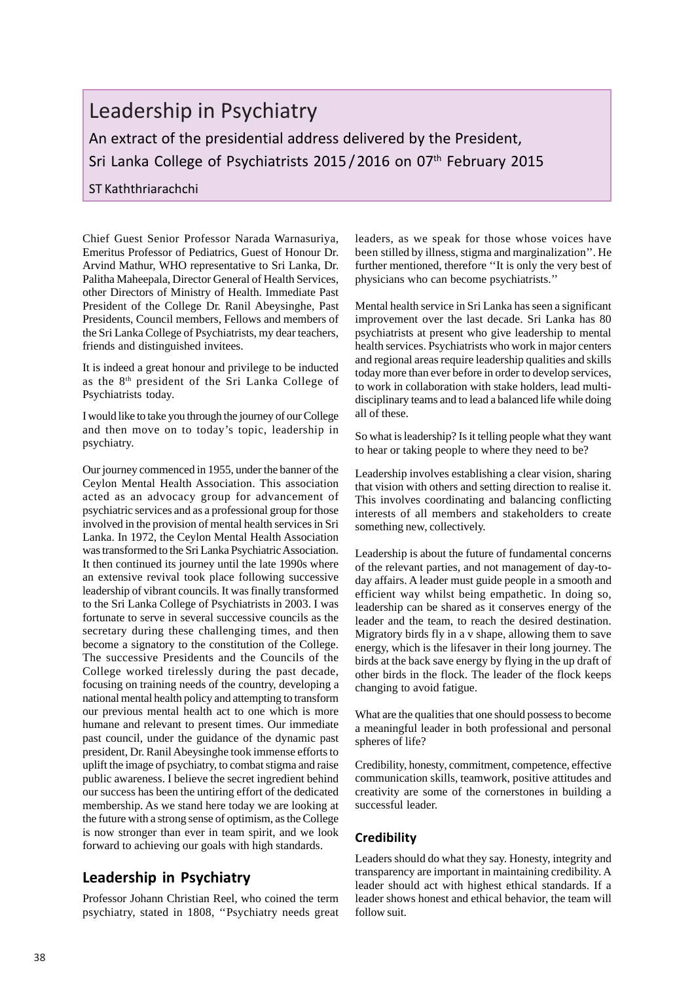# Leadership in Psychiatry

An extract of the presidential address delivered by the President, Sri Lanka College of Psychiatrists 2015 / 2016 on 07<sup>th</sup> February 2015

#### ST Kaththriarachchi

Chief Guest Senior Professor Narada Warnasuriya, Emeritus Professor of Pediatrics, Guest of Honour Dr. Arvind Mathur, WHO representative to Sri Lanka, Dr. Palitha Maheepala, Director General of Health Services, other Directors of Ministry of Health. Immediate Past President of the College Dr. Ranil Abeysinghe, Past Presidents, Council members, Fellows and members of the Sri Lanka College of Psychiatrists, my dear teachers, friends and distinguished invitees.

It is indeed a great honour and privilege to be inducted as the 8th president of the Sri Lanka College of Psychiatrists today.

I would like to take you through the journey of our College and then move on to today's topic, leadership in psychiatry.

Our journey commenced in 1955, under the banner of the Ceylon Mental Health Association. This association acted as an advocacy group for advancement of psychiatric services and as a professional group for those involved in the provision of mental health services in Sri Lanka. In 1972, the Ceylon Mental Health Association was transformed to the Sri Lanka Psychiatric Association. It then continued its journey until the late 1990s where an extensive revival took place following successive leadership of vibrant councils. It was finally transformed to the Sri Lanka College of Psychiatrists in 2003. I was fortunate to serve in several successive councils as the secretary during these challenging times, and then become a signatory to the constitution of the College. The successive Presidents and the Councils of the College worked tirelessly during the past decade, focusing on training needs of the country, developing a national mental health policy and attempting to transform our previous mental health act to one which is more humane and relevant to present times. Our immediate past council, under the guidance of the dynamic past president, Dr. Ranil Abeysinghe took immense efforts to uplift the image of psychiatry, to combat stigma and raise public awareness. I believe the secret ingredient behind our success has been the untiring effort of the dedicated membership. As we stand here today we are looking at the future with a strong sense of optimism, as the College is now stronger than ever in team spirit, and we look forward to achieving our goals with high standards.

## **Leadership in Psychiatry**

Professor Johann Christian Reel, who coined the term psychiatry, stated in 1808, ''Psychiatry needs great leaders, as we speak for those whose voices have been stilled by illness, stigma and marginalization''. He further mentioned, therefore ''It is only the very best of physicians who can become psychiatrists.''

Mental health service in Sri Lanka has seen a significant improvement over the last decade. Sri Lanka has 80 psychiatrists at present who give leadership to mental health services. Psychiatrists who work in major centers and regional areas require leadership qualities and skills today more than ever before in order to develop services, to work in collaboration with stake holders, lead multidisciplinary teams and to lead a balanced life while doing all of these.

So what is leadership? Is it telling people what they want to hear or taking people to where they need to be?

Leadership involves establishing a clear vision, sharing that vision with others and setting direction to realise it. This involves coordinating and balancing conflicting interests of all members and stakeholders to create something new, collectively.

Leadership is about the future of fundamental concerns of the relevant parties, and not management of day-today affairs. A leader must guide people in a smooth and efficient way whilst being empathetic. In doing so, leadership can be shared as it conserves energy of the leader and the team, to reach the desired destination. Migratory birds fly in a v shape, allowing them to save energy, which is the lifesaver in their long journey. The birds at the back save energy by flying in the up draft of other birds in the flock. The leader of the flock keeps changing to avoid fatigue.

What are the qualities that one should possess to become a meaningful leader in both professional and personal spheres of life?

Credibility, honesty, commitment, competence, effective communication skills, teamwork, positive attitudes and creativity are some of the cornerstones in building a successful leader.

#### **Credibility**

Leaders should do what they say. Honesty, integrity and transparency are important in maintaining credibility. A leader should act with highest ethical standards. If a leader shows honest and ethical behavior, the team will follow suit.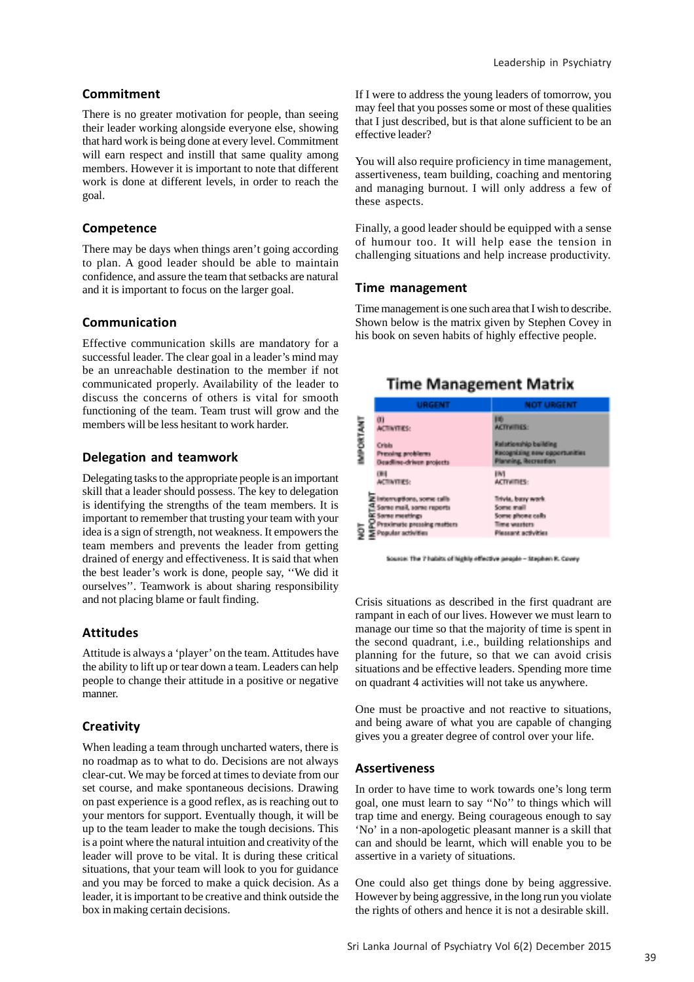#### **Commitment**

There is no greater motivation for people, than seeing their leader working alongside everyone else, showing that hard work is being done at every level. Commitment will earn respect and instill that same quality among members. However it is important to note that different work is done at different levels, in order to reach the goal.

#### **Competence**

There may be days when things aren't going according to plan. A good leader should be able to maintain confidence, and assure the team that setbacks are natural and it is important to focus on the larger goal.

#### **Communication**

Effective communication skills are mandatory for a successful leader. The clear goal in a leader's mind may be an unreachable destination to the member if not communicated properly. Availability of the leader to discuss the concerns of others is vital for smooth functioning of the team. Team trust will grow and the members will be less hesitant to work harder.

#### **Delegation and teamwork**

Delegating tasks to the appropriate people is an important skill that a leader should possess. The key to delegation is identifying the strengths of the team members. It is important to remember that trusting your team with your idea is a sign of strength, not weakness. It empowers the team members and prevents the leader from getting drained of energy and effectiveness. It is said that when the best leader's work is done, people say, ''We did it ourselves''. Teamwork is about sharing responsibility and not placing blame or fault finding.

#### **Attitudes**

Attitude is always a 'player' on the team. Attitudes have the ability to lift up or tear down a team. Leaders can help people to change their attitude in a positive or negative manner.

#### **Creativity**

When leading a team through uncharted waters, there is no roadmap as to what to do. Decisions are not always clear-cut. We may be forced at times to deviate from our set course, and make spontaneous decisions. Drawing on past experience is a good reflex, as is reaching out to your mentors for support. Eventually though, it will be up to the team leader to make the tough decisions. This is a point where the natural intuition and creativity of the leader will prove to be vital. It is during these critical situations, that your team will look to you for guidance and you may be forced to make a quick decision. As a leader, it is important to be creative and think outside the box in making certain decisions.

If I were to address the young leaders of tomorrow, you may feel that you posses some or most of these qualities that I just described, but is that alone sufficient to be an effective leader?

You will also require proficiency in time management, assertiveness, team building, coaching and mentoring and managing burnout. I will only address a few of these aspects.

Finally, a good leader should be equipped with a sense of humour too. It will help ease the tension in challenging situations and help increase productivity.

#### **Time management**

Time management is one such area that I wish to describe. Shown below is the matrix given by Stephen Covey in his book on seven habits of highly effective people.

**Time Management Matrix** 

#### m. III)<br>ACTIVITIES: **TANKING ACTIVITIES** Crisis Pressing problems **Deadline-driven projects**  $\left\langle 00\right\rangle$  $|W|$ **ACTIVITIES ACTIVITIES:** E interruptions, some calls Trivia, basy work iella:<br>C Same mail, same reports Scene mail ana phone cells Same meetings Proximate pressing matters Time wasters S E Proximato pressie<br>S E Popular activities Hessent schyltist

Source: The 7 habits of highly effective people - Stephen R. Covey

Crisis situations as described in the first quadrant are rampant in each of our lives. However we must learn to manage our time so that the majority of time is spent in the second quadrant, i.e., building relationships and planning for the future, so that we can avoid crisis situations and be effective leaders. Spending more time on quadrant 4 activities will not take us anywhere.

One must be proactive and not reactive to situations, and being aware of what you are capable of changing gives you a greater degree of control over your life.

#### **Assertiveness**

In order to have time to work towards one's long term goal, one must learn to say ''No'' to things which will trap time and energy. Being courageous enough to say 'No' in a non-apologetic pleasant manner is a skill that can and should be learnt, which will enable you to be assertive in a variety of situations.

One could also get things done by being aggressive. However by being aggressive, in the long run you violate the rights of others and hence it is not a desirable skill.